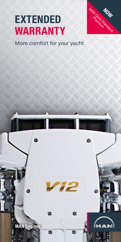# **EXTENDED WARRANTY**



## More comfort for your yacht

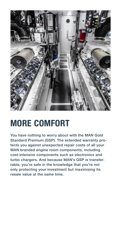

## **MORE COMFORT**

You have nothing to worry about with the MAN Gold Standard Premium (GSP). The extended warranty protects you against unexpected repair costs of all your MAN branded engine room components, including cost-intensive components such as electronics and turbo chargers. And because MAN's GSP is transferrable, you're safe in the knowledge that you're not only protecting your investment but maximising its resale value at the same time.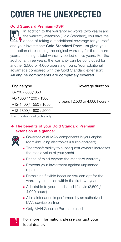## **COVER THE UNEXPECTED**

## Gold Standard Premium (GSP)

**RA** In addition to the warranty ex works (two years) and the warranty extension (Gold Standard), you have the poption of taking out additional coverage for yourself and your investment: Gold Standard Premium gives you the option of extending the original warranty for three more years, meaning a total warranty period of five years. For the additional three years, the warranty can be concluded for another 2,500 or 4,000 operating hours. Your additional advantage compared with the Gold Standard extension: All engine components are completely covered.

Engine type **Coverage duration** 

| i6-730 / 800 / 850     |                                                        |
|------------------------|--------------------------------------------------------|
| V8-1000 / 1200 / 1300  | 5 years $(2,500 \text{ or } 4,000 \text{ hours }^{1})$ |
| V12-1400 / 1550 / 1650 |                                                        |
| V12-1800 / 1900 / 2000 |                                                        |
|                        |                                                        |

1) for privately used yachts only

## → The benefits of your Gold Standard Premium extension at a glance:



- Coverage of all MAN components in your engine room (including electronics & turbo chargers)
- The transferability to subsequent owners increases the resale value of your yacht
- **Peace of mind beyond the standard warranty**
- **Protects your investment against unplanned** repairs
- **Remaining flexible because you can opt for the** warranty extension within the first two years
- Adaptable to your needs and lifestyle (2,500 / 4,000 hours)
- All maintenance is performed by an authorized MAN service partner
- **Only MAN Genuine Parts are used**

## For more information, please contact your local dealer.